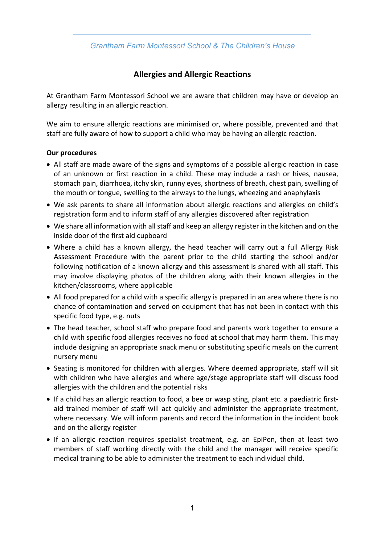

## **Allergies and Allergic Reactions**

At Grantham Farm Montessori School we are aware that children may have or develop an allergy resulting in an allergic reaction.

We aim to ensure allergic reactions are minimised or, where possible, prevented and that staff are fully aware of how to support a child who may be having an allergic reaction.

## **Our procedures**

- All staff are made aware of the signs and symptoms of a possible allergic reaction in case of an unknown or first reaction in a child. These may include a rash or hives, nausea, stomach pain, diarrhoea, itchy skin, runny eyes, shortness of breath, chest pain, swelling of the mouth or tongue, swelling to the airways to the lungs, wheezing and anaphylaxis
- We ask parents to share all information about allergic reactions and allergies on child's registration form and to inform staff of any allergies discovered after registration
- We share all information with all staff and keep an allergy register in the kitchen and on the inside door of the first aid cupboard
- Where a child has a known allergy, the head teacher will carry out a full Allergy Risk Assessment Procedure with the parent prior to the child starting the school and/or following notification of a known allergy and this assessment is shared with all staff. This may involve displaying photos of the children along with their known allergies in the kitchen/classrooms, where applicable
- All food prepared for a child with a specific allergy is prepared in an area where there is no chance of contamination and served on equipment that has not been in contact with this specific food type, e.g. nuts
- The head teacher, school staff who prepare food and parents work together to ensure a child with specific food allergies receives no food at school that may harm them. This may include designing an appropriate snack menu or substituting specific meals on the current nursery menu
- Seating is monitored for children with allergies. Where deemed appropriate, staff will sit with children who have allergies and where age/stage appropriate staff will discuss food allergies with the children and the potential risks
- If a child has an allergic reaction to food, a bee or wasp sting, plant etc. a paediatric firstaid trained member of staff will act quickly and administer the appropriate treatment, where necessary. We will inform parents and record the information in the incident book and on the allergy register
- If an allergic reaction requires specialist treatment, e.g. an EpiPen, then at least two members of staff working directly with the child and the manager will receive specific medical training to be able to administer the treatment to each individual child.